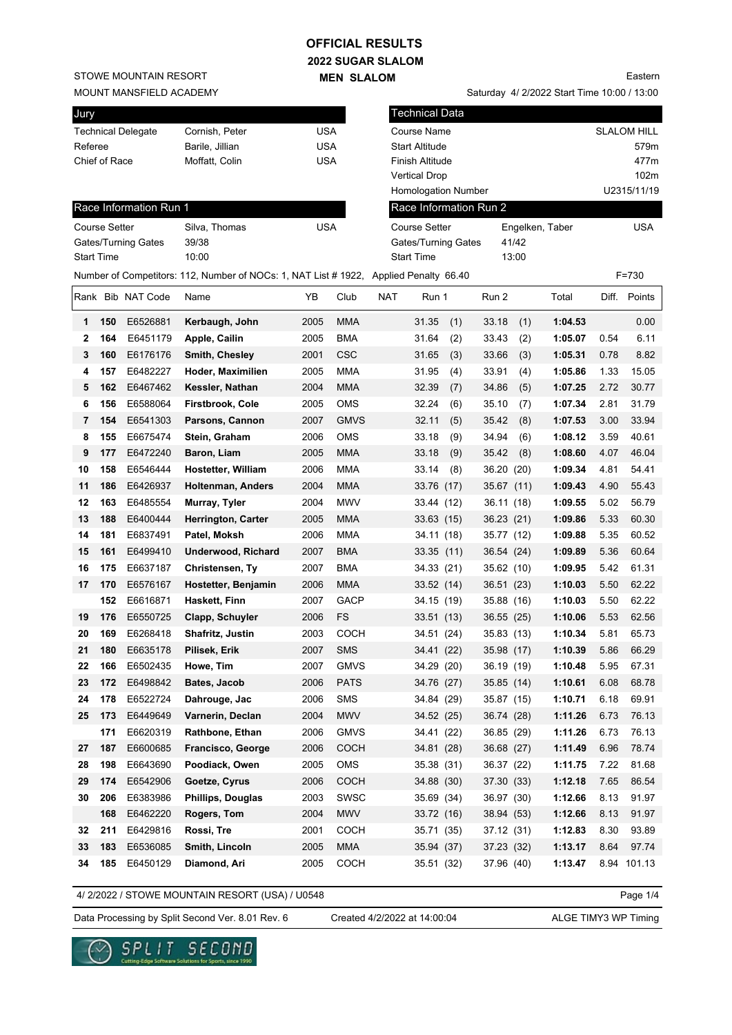### **2022 SUGAR SLALOM OFFICIAL RESULTS**

**MEN SLALOM** 

STOWE MOUNTAIN RESORT

#### MOUNT MANSFIELD ACADEMY

| Jury       |               |                        |                                                                                       |            |             |            | <b>Technical Data</b>      |     |                        |       |                 |       |                    |
|------------|---------------|------------------------|---------------------------------------------------------------------------------------|------------|-------------|------------|----------------------------|-----|------------------------|-------|-----------------|-------|--------------------|
|            |               | Technical Delegate     | Cornish, Peter                                                                        | <b>USA</b> |             |            | <b>Course Name</b>         |     |                        |       |                 |       | <b>SLALOM HILL</b> |
| Referee    |               |                        | Barile, Jillian                                                                       | <b>USA</b> |             |            | <b>Start Altitude</b>      |     |                        |       |                 |       | 579m               |
|            | Chief of Race |                        | Moffatt, Colin                                                                        | <b>USA</b> |             |            | Finish Altitude            |     |                        |       |                 |       | 477m               |
|            |               |                        |                                                                                       |            |             |            | <b>Vertical Drop</b>       |     |                        |       |                 |       | 102m               |
|            |               |                        |                                                                                       |            |             |            | <b>Homologation Number</b> |     |                        |       |                 |       | U2315/11/19        |
|            |               | Race Information Run 1 |                                                                                       |            |             |            |                            |     | Race Information Run 2 |       |                 |       |                    |
|            | Course Setter |                        | Silva, Thomas                                                                         | <b>USA</b> |             |            | <b>Course Setter</b>       |     |                        |       | Engelken, Taber |       | <b>USA</b>         |
|            |               | Gates/Turning Gates    | 39/38                                                                                 |            |             |            | Gates/Turning Gates        |     |                        | 41/42 |                 |       |                    |
| Start Time |               |                        | 10:00                                                                                 |            |             |            | <b>Start Time</b>          |     |                        | 13:00 |                 |       |                    |
|            |               |                        | Number of Competitors: 112, Number of NOCs: 1, NAT List # 1922, Applied Penalty 66.40 |            |             |            |                            |     |                        |       |                 |       | $F = 730$          |
|            |               | Rank Bib NAT Code      | Name                                                                                  | YB         | Club        | <b>NAT</b> | Run 1                      |     | Run 2                  |       | Total           | Diff. | Points             |
| 1          | 150           | E6526881               | Kerbaugh, John                                                                        | 2005       | <b>MMA</b>  |            | 31.35                      | (1) | 33.18                  | (1)   | 1:04.53         |       | 0.00               |
| 2          | 164           | E6451179               | Apple, Cailin                                                                         | 2005       | <b>BMA</b>  |            | 31.64                      | (2) | 33.43                  | (2)   | 1:05.07         | 0.54  | 6.11               |
| 3          | 160           | E6176176               | Smith, Chesley                                                                        | 2001       | <b>CSC</b>  |            | 31.65                      | (3) | 33.66                  | (3)   | 1:05.31         | 0.78  | 8.82               |
| 4          | 157           | E6482227               | Hoder, Maximilien                                                                     | 2005       | MMA         |            | 31.95                      | (4) | 33.91                  | (4)   | 1:05.86         | 1.33  | 15.05              |
| 5          | 162           | E6467462               | Kessler, Nathan                                                                       | 2004       | <b>MMA</b>  |            | 32.39                      | (7) | 34.86                  | (5)   | 1:07.25         | 2.72  | 30.77              |
| 6          | 156           | E6588064               | <b>Firstbrook, Cole</b>                                                               | 2005       | <b>OMS</b>  |            | 32.24                      | (6) | 35.10                  | (7)   | 1:07.34         | 2.81  | 31.79              |
| 7          | 154           | E6541303               | Parsons, Cannon                                                                       | 2007       | <b>GMVS</b> |            | 32.11                      | (5) | 35.42                  | (8)   | 1:07.53         | 3.00  | 33.94              |
| 8          | 155           | E6675474               | Stein, Graham                                                                         | 2006       | <b>OMS</b>  |            | 33.18                      | (9) | 34.94                  | (6)   | 1:08.12         | 3.59  | 40.61              |
| 9          | 177           | E6472240               | Baron, Liam                                                                           | 2005       | <b>MMA</b>  |            | 33.18                      | (9) | 35.42                  | (8)   | 1:08.60         | 4.07  | 46.04              |
| 10         | 158           | E6546444               | <b>Hostetter, William</b>                                                             | 2006       | <b>MMA</b>  |            | 33.14                      | (8) | 36.20                  | (20)  | 1:09.34         | 4.81  | 54.41              |
| 11         | 186           | E6426937               | <b>Holtenman, Anders</b>                                                              | 2004       | <b>MMA</b>  |            | 33.76 (17)                 |     | 35.67 (11)             |       | 1:09.43         | 4.90  | 55.43              |
| 12         | 163           | E6485554               | Murray, Tyler                                                                         | 2004       | <b>MWV</b>  |            | 33.44 (12)                 |     | 36.11 (18)             |       | 1:09.55         | 5.02  | 56.79              |
| 13         | 188           | E6400444               | <b>Herrington, Carter</b>                                                             | 2005       | MMA         |            | 33.63 (15)                 |     | 36.23 (21)             |       | 1:09.86         | 5.33  | 60.30              |
| 14         | 181           | E6837491               | Patel, Moksh                                                                          | 2006       | <b>MMA</b>  |            | 34.11 (18)                 |     | 35.77 (12)             |       | 1:09.88         | 5.35  | 60.52              |
| 15         | 161           | E6499410               | <b>Underwood, Richard</b>                                                             | 2007       | <b>BMA</b>  |            | 33.35(11)                  |     | 36.54 (24)             |       | 1:09.89         | 5.36  | 60.64              |
| 16         | 175           | E6637187               | Christensen, Ty                                                                       | 2007       | <b>BMA</b>  |            | 34.33 (21)                 |     | 35.62 (10)             |       | 1:09.95         | 5.42  | 61.31              |
| 17         | 170           | E6576167               | Hostetter, Benjamin                                                                   | 2006       | <b>MMA</b>  |            | 33.52 (14)                 |     | 36.51 (23)             |       | 1:10.03         | 5.50  | 62.22              |
|            | 152           | E6616871               | Haskett, Finn                                                                         | 2007       | <b>GACP</b> |            | 34.15 (19)                 |     | 35.88 (16)             |       | 1:10.03         | 5.50  | 62.22              |
| 19         | 176           | E6550725               | Clapp, Schuyler                                                                       | 2006       | <b>FS</b>   |            | 33.51(13)                  |     | 36.55(25)              |       | 1:10.06         | 5.53  | 62.56              |
| 20         | 169           | E6268418               | Shafritz, Justin                                                                      | 2003       | COCH        |            | 34.51 (24)                 |     | 35.83 (13)             |       | 1:10.34         | 5.81  | 65.73              |
| 21         | 180           | E6635178               | Pilisek, Erik                                                                         | 2007       | <b>SMS</b>  |            | 34.41 (22)                 |     | 35.98 (17)             |       | 1:10.39         | 5.86  | 66.29              |
| 22         | 166           | E6502435               | Howe, Tim                                                                             | 2007       | <b>GMVS</b> |            | 34.29 (20)                 |     | 36.19 (19)             |       | 1:10.48         | 5.95  | 67.31              |
| 23         | 172           | E6498842               | Bates, Jacob                                                                          | 2006       | <b>PATS</b> |            | 34.76 (27)                 |     | 35.85 (14)             |       | 1:10.61         | 6.08  | 68.78              |
| 24         | 178           | E6522724               | Dahrouge, Jac                                                                         | 2006       | <b>SMS</b>  |            | 34.84 (29)                 |     | 35.87 (15)             |       | 1:10.71         | 6.18  | 69.91              |
| 25         | 173           | E6449649               | Varnerin, Declan                                                                      | 2004       | <b>MWV</b>  |            | 34.52 (25)                 |     | 36.74 (28)             |       | 1:11.26         | 6.73  | 76.13              |
|            | 171           | E6620319               | Rathbone, Ethan                                                                       | 2006       | <b>GMVS</b> |            | 34.41 (22)                 |     | 36.85 (29)             |       | 1:11.26         | 6.73  | 76.13              |
| 27         | 187           | E6600685               | Francisco, George                                                                     | 2006       | <b>COCH</b> |            | 34.81 (28)                 |     | 36.68 (27)             |       | 1:11.49         | 6.96  | 78.74              |
| 28         | 198           | E6643690               | Poodiack, Owen                                                                        | 2005       | OMS         |            | 35.38 (31)                 |     | 36.37 (22)             |       | 1:11.75         | 7.22  | 81.68              |
| 29         | 174           | E6542906               | Goetze, Cyrus                                                                         | 2006       | COCH        |            | 34.88 (30)                 |     | 37.30 (33)             |       | 1:12.18         | 7.65  | 86.54              |
| 30         | 206           | E6383986               | Phillips, Douglas                                                                     | 2003       | SWSC        |            | 35.69 (34)                 |     | 36.97 (30)             |       | 1:12.66         | 8.13  | 91.97              |
|            | 168           | E6462220               | Rogers, Tom                                                                           | 2004       | <b>MWV</b>  |            | 33.72 (16)                 |     | 38.94 (53)             |       | 1:12.66         | 8.13  | 91.97              |
| 32         | 211           | E6429816               | Rossi, Tre                                                                            | 2001       | <b>COCH</b> |            | 35.71 (35)                 |     | 37.12 (31)             |       | 1:12.83         | 8.30  | 93.89              |
| 33         | 183           | E6536085               | Smith, Lincoln                                                                        | 2005       | MMA         |            | 35.94 (37)                 |     | 37.23 (32)             |       | 1:13.17         | 8.64  | 97.74              |
|            |               |                        |                                                                                       |            |             |            |                            |     |                        |       |                 |       |                    |

4/ 2/2022 / STOWE MOUNTAIN RESORT (USA) / U0548

Page 1/4

Data Processing by Split Second Ver. 8.01 Rev. 6 Created 4/2/2022 at 14:00:04 ALGE TIMY3 WP Timing

Created 4/2/2022 at 14:00:04

**34 185** E6450129 **Diamond, Ari** 2005 COCH 35.51 (32) 37.96 (40) **1:13.47** 8.94 101.13



Eastern

Saturday 4/ 2/2022 Start Time 10:00 / 13:00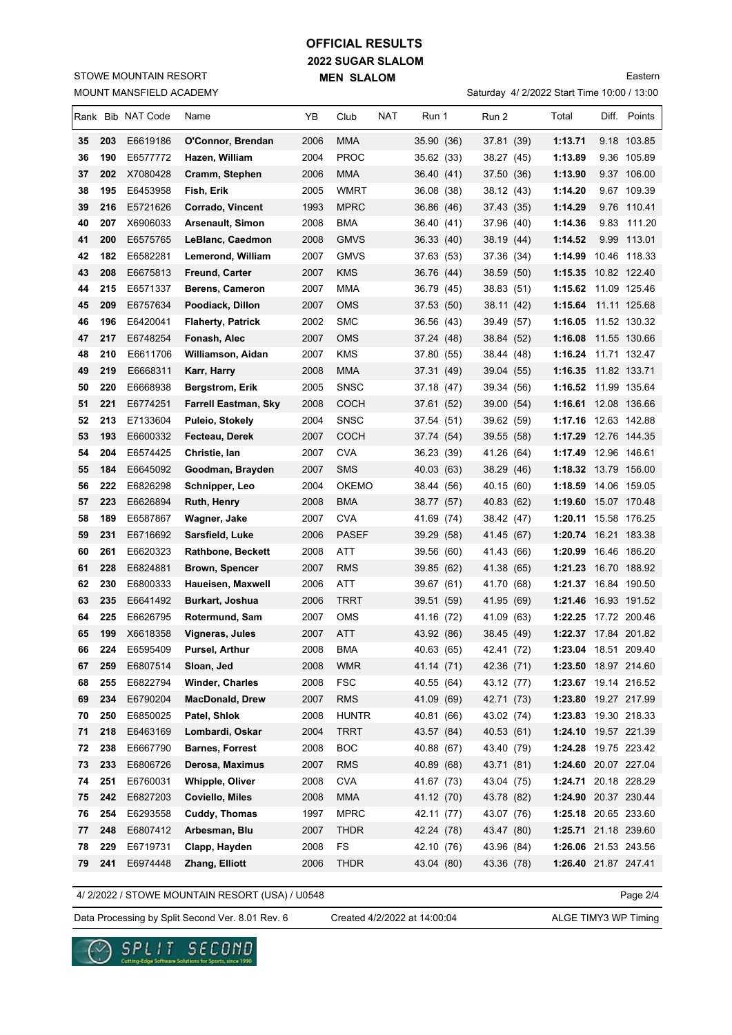# **2022 SUGAR SLALOM MEN SLALOM OFFICIAL RESULTS**

MOUNT MANSFIELD ACADEMY STOWE MOUNTAIN RESORT

|  |                                             | Eastern |
|--|---------------------------------------------|---------|
|  | Saturday 4/ 2/2022 Start Time 10:00 / 13:00 |         |

|    |            | Rank Bib NAT Code    | Name                                      | ΥB           | Club                       | NAT | Run 1                    | Run 2                    | Total                                        | Diff. Points |
|----|------------|----------------------|-------------------------------------------|--------------|----------------------------|-----|--------------------------|--------------------------|----------------------------------------------|--------------|
| 35 | 203        | E6619186             | O'Connor, Brendan                         | 2006         | MMA                        |     | 35.90 (36)               | 37.81 (39)               | 1:13.71                                      | 9.18 103.85  |
| 36 | 190        | E6577772             | Hazen, William                            | 2004         | <b>PROC</b>                |     | 35.62 (33)               | 38.27 (45)               | 1:13.89                                      | 9.36 105.89  |
| 37 | 202        | X7080428             | Cramm, Stephen                            | 2006         | MMA                        |     | 36.40 (41)               | 37.50 (36)               | 1:13.90                                      | 9.37 106.00  |
| 38 | 195        | E6453958             | Fish, Erik                                | 2005         | <b>WMRT</b>                |     | 36.08 (38)               | 38.12 (43)               | 1:14.20                                      | 9.67 109.39  |
| 39 | 216        | E5721626             | Corrado, Vincent                          | 1993         | <b>MPRC</b>                |     | 36.86 (46)               | 37.43 (35)               | 1:14.29                                      | 9.76 110.41  |
| 40 | 207        | X6906033             | <b>Arsenault, Simon</b>                   | 2008         | BMA                        |     | 36.40 (41)               | 37.96 (40)               | 1:14.36                                      | 9.83 111.20  |
| 41 | 200        | E6575765             | LeBlanc, Caedmon                          | 2008         | <b>GMVS</b>                |     | 36.33 (40)               | 38.19 (44)               | 1:14.52                                      | 9.99 113.01  |
| 42 | 182        | E6582281             | Lemerond, William                         | 2007         | <b>GMVS</b>                |     | 37.63 (53)               | 37.36 (34)               | 1:14.99                                      | 10.46 118.33 |
| 43 | 208        | E6675813             | <b>Freund, Carter</b>                     | 2007         | KMS                        |     | 36.76 (44)               | 38.59 (50)               | 1:15.35 10.82 122.40                         |              |
| 44 | 215        | E6571337             | Berens, Cameron                           | 2007         | <b>MMA</b>                 |     | 36.79 (45)               | 38.83 (51)               | 1:15.62 11.09 125.46                         |              |
| 45 | 209        | E6757634             | Poodiack, Dillon                          | 2007         | <b>OMS</b>                 |     | 37.53 (50)               | 38.11 (42)               | 1:15.64                                      | 11.11 125.68 |
| 46 | 196        | E6420041             | <b>Flaherty, Patrick</b>                  | 2002         | <b>SMC</b>                 |     | 36.56 (43)               | 39.49 (57)               | 1:16.05                                      | 11.52 130.32 |
| 47 | 217        | E6748254             | Fonash, Alec                              | 2007         | OMS                        |     | 37.24 (48)               | 38.84 (52)               | 1:16.08                                      | 11.55 130.66 |
| 48 | 210        | E6611706             | Williamson, Aidan                         | 2007         | <b>KMS</b>                 |     | 37.80 (55)               | 38.44 (48)               | 1:16.24 11.71 132.47                         |              |
| 49 | 219        | E6668311             | Karr, Harry                               | 2008         | <b>MMA</b>                 |     | 37.31 (49)               | 39.04 (55)               | 1:16.35                                      | 11.82 133.71 |
| 50 | 220        | E6668938             | <b>Bergstrom, Erik</b>                    | 2005         | <b>SNSC</b>                |     | 37.18 (47)               | 39.34 (56)               | 1:16.52                                      | 11.99 135.64 |
| 51 | 221        | E6774251             | <b>Farrell Eastman, Sky</b>               | 2008         | <b>COCH</b>                |     | 37.61 (52)               | 39.00 (54)               | 1:16.61 12.08 136.66                         |              |
| 52 | 213        | E7133604             | Puleio, Stokely                           | 2004         | <b>SNSC</b>                |     | 37.54 (51)               | 39.62 (59)               | 1:17.16 12.63 142.88                         |              |
| 53 | 193        | E6600332             | Fecteau, Derek                            | 2007         | <b>COCH</b>                |     | 37.74 (54)               | 39.55 (58)               | <b>1:17.29</b> 12.76  144.35                 |              |
| 54 | 204        | E6574425             | Christie, Ian                             | 2007         | <b>CVA</b>                 |     | 36.23 (39)               | 41.26 (64)               | 1:17.49 12.96 146.61                         |              |
| 55 | 184        | E6645092             | Goodman, Brayden                          | 2007         | <b>SMS</b>                 |     | 40.03 (63)               | 38.29 (46)               | 1:18.32 13.79 156.00                         |              |
| 56 | 222        | E6826298             | Schnipper, Leo                            | 2004         | <b>OKEMO</b>               |     | 38.44 (56)               | 40.15 (60)               | 1:18.59 14.06 159.05                         |              |
| 57 | 223        | E6626894             | Ruth, Henry                               | 2008         | BMA                        |     | 38.77 (57)               | 40.83 (62)               | 1:19.60 15.07 170.48                         |              |
| 58 | 189        | E6587867             | Wagner, Jake                              | 2007         | <b>CVA</b>                 |     | 41.69 (74)               | 38.42 (47)               | 1:20.11 15.58 176.25                         |              |
| 59 | 231        | E6716692             | Sarsfield, Luke                           | 2006         | <b>PASEF</b>               |     | 39.29 (58)               | 41.45 (67)               | 1:20.74 16.21 183.38                         |              |
| 60 | 261        | E6620323             | <b>Rathbone, Beckett</b>                  | 2008         | ATT                        |     | 39.56 (60)               | 41.43 (66)               | 1:20.99                                      | 16.46 186.20 |
| 61 | 228        | E6824881             | <b>Brown, Spencer</b>                     | 2007         | <b>RMS</b>                 |     | 39.85 (62)               | 41.38 (65)               | 1:21.23 16.70 188.92                         |              |
| 62 | 230        | E6800333             | Haueisen, Maxwell                         | 2006         | ATT                        |     | 39.67 (61)               | 41.70 (68)               | 1:21.37 16.84 190.50                         |              |
| 63 | 235        | E6641492             | <b>Burkart, Joshua</b>                    | 2006         | <b>TRRT</b>                |     | 39.51 (59)               | 41.95 (69)               | 1:21.46 16.93 191.52                         |              |
| 64 | 225        | E6626795             | Rotermund, Sam                            | 2007         | <b>OMS</b>                 |     | 41.16 (72)               | 41.09 (63)               | 1:22.25 17.72 200.46                         |              |
| 65 | 199        | X6618358             | Vigneras, Jules                           | 2007         | ATT                        |     | 43.92 (86)               | 38.45 (49)               | 1:22.37 17.84 201.82                         |              |
| 66 | 224        | E6595409             | Pursel, Arthur                            | 2008         | BMA                        |     | 40.63 (65)               | 42.41 (72)               | 1:23.04 18.51 209.40                         |              |
| 67 | 259        | E6807514             | Sloan, Jed                                | 2008         | <b>WMR</b>                 |     | 41.14 (71)               | 42.36 (71)               | 1:23.50 18.97 214.60                         |              |
| 68 | 255        | E6822794             | <b>Winder, Charles</b>                    | 2008         | <b>FSC</b>                 |     | 40.55 (64)               | 43.12 (77)               | 1:23.67 19.14 216.52                         |              |
| 69 | 234        | E6790204             | <b>MacDonald, Drew</b>                    | 2007         | <b>RMS</b>                 |     | 41.09 (69)               | 42.71 (73)               | 1:23.80 19.27 217.99                         |              |
| 70 | 250        | E6850025             | Patel, Shlok<br>Lombardi, Oskar           | 2008         | <b>HUNTR</b>               |     | 40.81 (66)               | 43.02 (74)               | 1:23.83 19.30 218.33                         |              |
| 71 | 218        | E6463169             |                                           | 2004         | <b>TRRT</b>                |     | 43.57 (84)               | 40.53 (61)               | 1:24.10 19.57 221.39                         |              |
| 72 | 238        | E6667790             | <b>Barnes, Forrest</b>                    | 2008         | <b>BOC</b>                 |     | 40.88 (67)               | 43.40 (79)               | 1:24.28 19.75 223.42                         |              |
| 73 | 233        | E6806726             | Derosa, Maximus                           | 2007         | <b>RMS</b>                 |     | 40.89 (68)               | 43.71 (81)<br>43.04 (75) | 1:24.60 20.07 227.04                         |              |
| 74 | 251        | E6760031             | <b>Whipple, Oliver</b><br>Coviello, Miles | 2008         | <b>CVA</b>                 |     | 41.67 (73)               |                          | 1:24.71 20.18 228.29                         |              |
| 75 | 242<br>254 | E6827203             | Cuddy, Thomas                             | 2008         | <b>MMA</b>                 |     | 41.12 (70)               | 43.78 (82)               | 1:24.90 20.37 230.44                         |              |
| 76 | 248        | E6293558<br>E6807412 | Arbesman, Blu                             | 1997<br>2007 | <b>MPRC</b><br><b>THDR</b> |     | 42.11 (77)<br>42.24 (78) | 43.07 (76)<br>43.47 (80) | 1:25.18 20.65 233.60<br>1:25.71 21.18 239.60 |              |
| 77 | 229        | E6719731             |                                           | 2008         | FS                         |     |                          |                          |                                              |              |
| 78 |            |                      | Clapp, Hayden                             |              |                            |     | 42.10 (76)               | 43.96 (84)               | 1:26.06 21.53 243.56                         |              |
| 79 | 241        | E6974448             | Zhang, Elliott                            | 2006         | <b>THDR</b>                |     | 43.04 (80)               | 43.36 (78)               | 1:26.40 21.87 247.41                         |              |

4/ 2/2022 / STOWE MOUNTAIN RESORT (USA) / U0548

Page 2/4

Data Processing by Split Second Ver. 8.01 Rev. 6 Created 4/2/2022 at 14:00:04 ALGE TIMY3 WP Timing

Created 4/2/2022 at 14:00:04

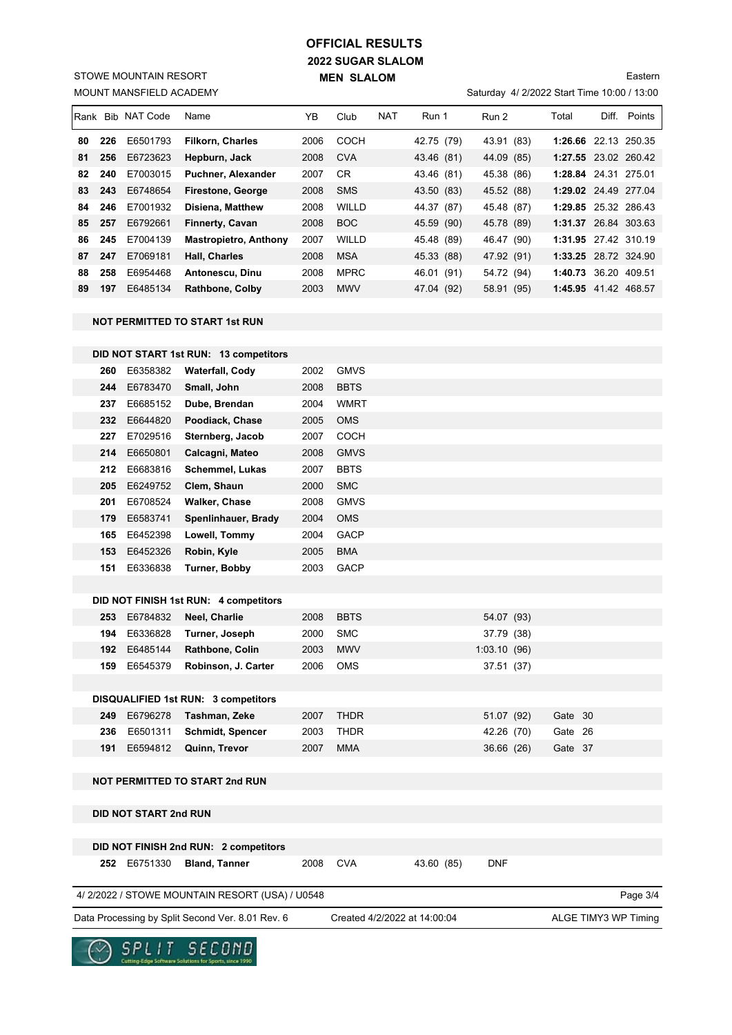# **2022 SUGAR SLALOM MEN SLALOM OFFICIAL RESULTS**

MOUNT MANSFIELD ACADEMY STOWE MOUNTAIN RESORT

## Saturday 4/ 2/2022 Start Time 10:00 / 13:00 Eastern

|    |     | <b>IRank Bib NAT Code</b> | Name                         | YB   | Club        | <b>NAT</b> | Run 1      | Run 2      | Total                | Diff. | Points |
|----|-----|---------------------------|------------------------------|------|-------------|------------|------------|------------|----------------------|-------|--------|
| 80 | 226 | E6501793                  | <b>Filkorn. Charles</b>      | 2006 | COCH        |            | 42.75 (79) | 43.91 (83) | 1:26.66 22.13 250.35 |       |        |
| 81 | 256 | E6723623                  | Hepburn, Jack                | 2008 | <b>CVA</b>  |            | 43.46 (81) | 44.09 (85) | 1:27.55 23.02 260.42 |       |        |
| 82 | 240 | E7003015                  | Puchner, Alexander           | 2007 | CR          |            | 43.46 (81) | 45.38 (86) | 1:28.84 24.31 275.01 |       |        |
| 83 | 243 | E6748654                  | Firestone, George            | 2008 | <b>SMS</b>  |            | 43.50 (83) | 45.52 (88) | 1:29.02 24.49 277.04 |       |        |
| 84 | 246 | E7001932                  | <b>Disiena, Matthew</b>      | 2008 | WILLD       |            | 44.37 (87) | 45.48 (87) | 1:29.85 25.32 286.43 |       |        |
| 85 | 257 | E6792661                  | <b>Finnerty, Cavan</b>       | 2008 | <b>BOC</b>  |            | 45.59 (90) | 45.78 (89) | 1:31.37 26.84 303.63 |       |        |
| 86 | 245 | E7004139                  | <b>Mastropietro, Anthony</b> | 2007 | WILLD       |            | 45.48 (89) | 46.47 (90) | 1:31.95 27.42 310.19 |       |        |
| 87 | 247 | E7069181                  | <b>Hall, Charles</b>         | 2008 | <b>MSA</b>  |            | 45.33 (88) | 47.92 (91) | 1:33.25 28.72 324.90 |       |        |
| 88 | 258 | E6954468                  | Antonescu, Dinu              | 2008 | <b>MPRC</b> |            | 46.01 (91) | 54.72 (94) | 1:40.73 36.20 409.51 |       |        |
| 89 | 197 | E6485134                  | <b>Rathbone, Colby</b>       | 2003 | <b>MWV</b>  |            | 47.04 (92) | 58.91 (95) | 1:45.95 41.42 468.57 |       |        |

#### **NOT PERMITTED TO START 1st RUN**

|     |                              | DID NOT START 1st RUN: 13 competitors            |      |                              |            |              |         |                      |
|-----|------------------------------|--------------------------------------------------|------|------------------------------|------------|--------------|---------|----------------------|
| 260 | E6358382                     | <b>Waterfall, Cody</b>                           | 2002 | <b>GMVS</b>                  |            |              |         |                      |
| 244 | E6783470                     | Small, John                                      | 2008 | <b>BBTS</b>                  |            |              |         |                      |
| 237 | E6685152                     | Dube, Brendan                                    | 2004 | <b>WMRT</b>                  |            |              |         |                      |
| 232 | E6644820                     | Poodiack, Chase                                  | 2005 | <b>OMS</b>                   |            |              |         |                      |
| 227 | E7029516                     | Sternberg, Jacob                                 | 2007 | <b>COCH</b>                  |            |              |         |                      |
| 214 | E6650801                     | Calcagni, Mateo                                  | 2008 | <b>GMVS</b>                  |            |              |         |                      |
| 212 | E6683816                     | Schemmel, Lukas                                  | 2007 | <b>BBTS</b>                  |            |              |         |                      |
| 205 | E6249752                     | Clem, Shaun                                      | 2000 | <b>SMC</b>                   |            |              |         |                      |
| 201 | E6708524                     | <b>Walker, Chase</b>                             | 2008 | <b>GMVS</b>                  |            |              |         |                      |
| 179 | E6583741                     | Spenlinhauer, Brady                              | 2004 | <b>OMS</b>                   |            |              |         |                      |
| 165 | E6452398                     | Lowell, Tommy                                    | 2004 | <b>GACP</b>                  |            |              |         |                      |
| 153 | E6452326                     | Robin, Kyle                                      | 2005 | <b>BMA</b>                   |            |              |         |                      |
| 151 | E6336838                     | Turner, Bobby                                    | 2003 | <b>GACP</b>                  |            |              |         |                      |
|     |                              |                                                  |      |                              |            |              |         |                      |
|     |                              | DID NOT FINISH 1st RUN: 4 competitors            |      |                              |            |              |         |                      |
| 253 | E6784832                     | Neel, Charlie                                    | 2008 | <b>BBTS</b>                  |            | 54.07 (93)   |         |                      |
| 194 | E6336828                     | Turner, Joseph                                   | 2000 | <b>SMC</b>                   |            | 37.79 (38)   |         |                      |
| 192 | E6485144                     | Rathbone, Colin                                  | 2003 | <b>MWV</b>                   |            | 1:03.10 (96) |         |                      |
| 159 | E6545379                     | Robinson, J. Carter                              | 2006 | <b>OMS</b>                   |            | 37.51 (37)   |         |                      |
|     |                              |                                                  |      |                              |            |              |         |                      |
|     |                              | <b>DISQUALIFIED 1st RUN: 3 competitors</b>       |      |                              |            |              |         |                      |
|     | 249 E6796278                 | Tashman, Zeke                                    | 2007 | <b>THDR</b>                  |            | 51.07 (92)   | Gate 30 |                      |
| 236 | E6501311                     | <b>Schmidt, Spencer</b>                          | 2003 | <b>THDR</b>                  |            | 42.26 (70)   | Gate 26 |                      |
| 191 | E6594812                     | Quinn, Trevor                                    | 2007 | <b>MMA</b>                   |            | 36.66 (26)   | Gate 37 |                      |
|     |                              |                                                  |      |                              |            |              |         |                      |
|     |                              | <b>NOT PERMITTED TO START 2nd RUN</b>            |      |                              |            |              |         |                      |
|     |                              |                                                  |      |                              |            |              |         |                      |
|     | <b>DID NOT START 2nd RUN</b> |                                                  |      |                              |            |              |         |                      |
|     |                              |                                                  |      |                              |            |              |         |                      |
|     |                              | DID NOT FINISH 2nd RUN: 2 competitors            |      |                              |            |              |         |                      |
|     | 252 E6751330                 | <b>Bland, Tanner</b>                             | 2008 | <b>CVA</b>                   | 43.60 (85) | <b>DNF</b>   |         |                      |
|     |                              | 4/2/2022 / STOWE MOUNTAIN RESORT (USA) / U0548   |      |                              |            |              |         | Page 3/4             |
|     |                              | Data Processing by Split Second Ver. 8.01 Rev. 6 |      | Created 4/2/2022 at 14:00:04 |            |              |         | ALGE TIMY3 WP Timing |
|     |                              |                                                  |      |                              |            |              |         |                      |